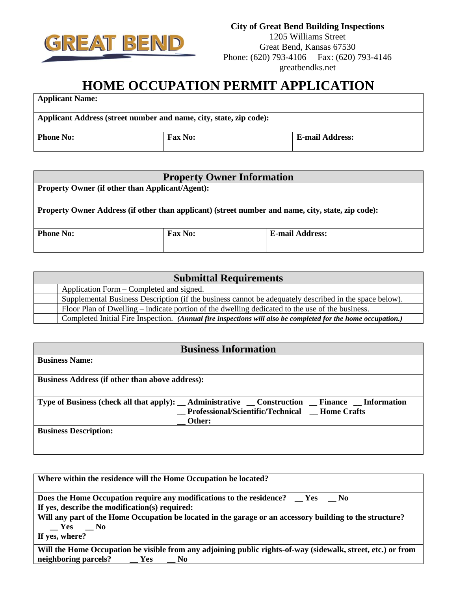

1205 Williams Street Great Bend, Kansas 67530 Phone: (620) 793-4106 Fax: (620) 793-4146 greatbendks.net

## **HOME OCCUPATION PERMIT APPLICATION**

**Applicant Name:**

**Applicant Address (street number and name, city, state, zip code): Phone No: Fax No: E-mail Address:** 

| <b>Property Owner Information</b>                                                                 |                |                        |  |
|---------------------------------------------------------------------------------------------------|----------------|------------------------|--|
| <b>Property Owner (if other than Applicant/Agent):</b>                                            |                |                        |  |
|                                                                                                   |                |                        |  |
| Property Owner Address (if other than applicant) (street number and name, city, state, zip code): |                |                        |  |
|                                                                                                   |                |                        |  |
| <b>Phone No:</b>                                                                                  | <b>Fax No:</b> | <b>E-mail Address:</b> |  |
|                                                                                                   |                |                        |  |

| <b>Submittal Requirements</b> |                                                                                                              |  |
|-------------------------------|--------------------------------------------------------------------------------------------------------------|--|
|                               | Application Form – Completed and signed.                                                                     |  |
|                               | Supplemental Business Description (if the business cannot be adequately described in the space below).       |  |
|                               | Floor Plan of Dwelling – indicate portion of the dwelling dedicated to the use of the business.              |  |
|                               | Completed Initial Fire Inspection. (Annual fire inspections will also be completed for the home occupation.) |  |

| <b>Business Information</b>                                                                                      |  |  |
|------------------------------------------------------------------------------------------------------------------|--|--|
| <b>Business Name:</b>                                                                                            |  |  |
|                                                                                                                  |  |  |
| <b>Business Address (if other than above address):</b>                                                           |  |  |
|                                                                                                                  |  |  |
| Type of Business (check all that apply): $\_\$ Administrative $\_\$ Construction $\_\$ Finance $\_\$ Information |  |  |
| _Professional/Scientific/Technical _Home Crafts                                                                  |  |  |
| Other:                                                                                                           |  |  |
| <b>Business Description:</b>                                                                                     |  |  |
|                                                                                                                  |  |  |
|                                                                                                                  |  |  |

| Where within the residence will the Home Occupation be located?                                              |  |
|--------------------------------------------------------------------------------------------------------------|--|
| Does the Home Occupation require any modifications to the residence? __ Yes __ No                            |  |
| If yes, describe the modification(s) required:                                                               |  |
| Will any part of the Home Occupation be located in the garage or an accessory building to the structure?     |  |
| $Yes$ No                                                                                                     |  |
| If yes, where?                                                                                               |  |
| Will the Home Occupation be visible from any adjoining public rights-of-way (sidewalk, street, etc.) or from |  |
| neighboring parcels? __ Yes __ No                                                                            |  |